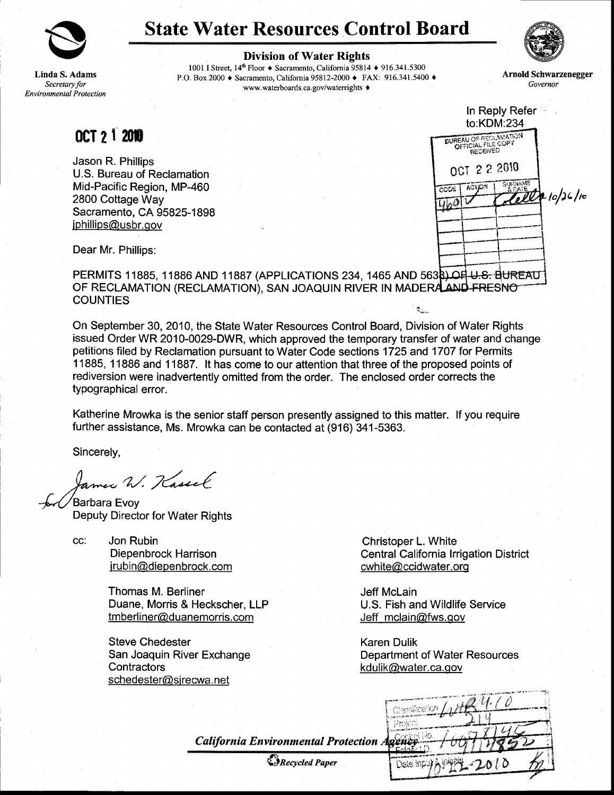

## State Water Resources Control Board



Linda S. Adams Secretary for **Environmental Protection**  Division of Water Rights

1001 I Street, 14<sup>th</sup> Floor ♦ Sacramento, California 95814 ♦ 916.341.5300 P.O. Box 2000 ♦ Sacramento, California 95812-2000 ♦ FAX: 916.341.5400 ♦ www.waterboards.ca.gov/waterrights  $\triangleleft$ 

Arnold Schwarzenegger<br>Governor

OCT 21 2010

Jason R. Phillips U.S. Bureau of Reclamation Mid-Pacific Region, MP-460 2800 Cottage Way Sacramento, CA 95825-1898 iphillips@usbr.qov



Dear Mr. Phillips:

PERMITS 11885, 11886 AND 11887 (APPLICATIONS 234, 1465 AND 5638) OH U.S. BUREAU OF RECLAMATION (RECLAMATION), SAN JOAQUIN RIVER IN MADERALAND FRESNOT **COUNTIES**  $\star$ .

On September 30, 2010, the State Water Resources Control Board, Division of Water Rights issued Order WR 2010-0029-DWR, which approved the temporary transfer of water and change petitions filed by Reclamation pursuant to Water Code sections 1725 and 1707 for Permits 1 1885, 1 1886 and 1 1887. lt has come to our attention that three of the proposed points of rediversion were inadvertently omitted from the order. The enclosed order corrects the typographical error.

Katherine Mrowka is the senior staff person presently assigned to this matter. lf you require further assistance, Ms. Mrowka can be contacted at (916) 341-5363.

Sincerely,

James W. Kassel

Barbara Evov Deputy Director for Water Rights

cc: Jon Rubin Diepenbrock Harrison irubin@diepenbrock.com

> Thomas M. Berliner Duane, Morris & Heckscher, LLP tm berliner@duanemorris.com

Steve Chedester San Joaquin River Exchange **Contractors** schedester@ sjre cwa.net

Christoper L. White Central California lrrigation District cwhite@ccidwater.org

Jeff Mclain U.S. Fish and Wildlife Service Jeff mclain@fws.qov

Karen Dulik Department of Water Resources kdulik@water.ca.gov

**California Environmental Protection** 

&*Recycled Paper* 

| KGR X            |  |
|------------------|--|
| ಜಕ್              |  |
| àr.              |  |
| Date Input<br>10 |  |
|                  |  |